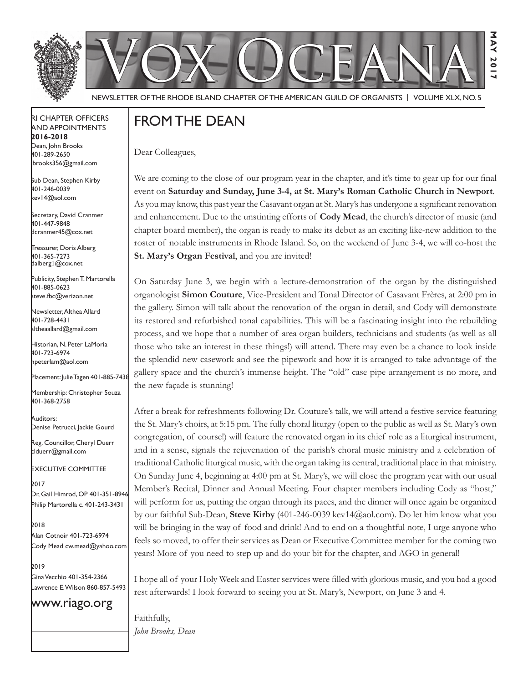



Newsletter of the Rhode Island Chapter of the American Guild of OrganistS | Volume XLX, No. 5

#### RI Chapter Officers and Appointments **2016-2018** Dean, John Brooks 401-289-2650 jbrooks356@gmail.com

Sub Dean, Stephen Kirby 401-246-0039 kev14@aol.com

Secretary, David Cranmer 401-447-9848 dcranmer45@cox.net

Treasurer, Doris Alberg 401-365-7273 dalberg1@cox.net I

Publicity, Stephen T. Martorella 401-885-0623 steve.fbc@verizon.net

Newsletter, Althea Allard 401-728-4431 altheaallard@gmail.com

Historian, N. Peter LaMoria 401-723-6974 npeterlam@aol.com

Placement: Julie Tagen 401-885-7438

Membership: Christopher Souza 401-368-2758

Auditors: Denise Petrucci, Jackie Gourd

Reg. Councillor, Cheryl Duerr clduerr@gmail.com

Executive Committee

2017 Dr, Gail Himrod, OP 401-351-8946 Philip Martorella c. 401-243-3431

2018 Alan Cotnoir 401-723-6974 Cody Mead cw.mead@yahoo.com

2019 Gina Vecchio 401-354-2366 Lawrence E. Wilson 860-857-5493

www.riago.org

# From the Dean

Dear Colleagues,

We are coming to the close of our program year in the chapter, and it's time to gear up for our final event on **Saturday and Sunday, June 3-4, at St. Mary's Roman Catholic Church in Newport**. As you may know, this past year the Casavant organ at St. Mary's has undergone a significant renovation and enhancement. Due to the unstinting efforts of **Cody Mead**, the church's director of music (and chapter board member), the organ is ready to make its debut as an exciting like-new addition to the roster of notable instruments in Rhode Island. So, on the weekend of June 3-4, we will co-host the **St. Mary's Organ Festival**, and you are invited!

**May 2017**

2017

З  $\overline{M}$ 

On Saturday June 3, we begin with a lecture-demonstration of the organ by the distinguished organologist **Simon Couture**, Vice-President and Tonal Director of Casavant Frères, at 2:00 pm in the gallery. Simon will talk about the renovation of the organ in detail, and Cody will demonstrate its restored and refurbished tonal capabilities. This will be a fascinating insight into the rebuilding process, and we hope that a number of area organ builders, technicians and students (as well as all those who take an interest in these things!) will attend. There may even be a chance to look inside the splendid new casework and see the pipework and how it is arranged to take advantage of the gallery space and the church's immense height. The "old" case pipe arrangement is no more, and the new façade is stunning!

After a break for refreshments following Dr. Couture's talk, we will attend a festive service featuring the St. Mary's choirs, at 5:15 pm. The fully choral liturgy (open to the public as well as St. Mary's own congregation, of course!) will feature the renovated organ in its chief role as a liturgical instrument, and in a sense, signals the rejuvenation of the parish's choral music ministry and a celebration of traditional Catholic liturgical music, with the organ taking its central, traditional place in that ministry. On Sunday June 4, beginning at 4:00 pm at St. Mary's, we will close the program year with our usual Member's Recital, Dinner and Annual Meeting. Four chapter members including Cody as "host," will perform for us, putting the organ through its paces, and the dinner will once again be organized by our faithful Sub-Dean, **Steve Kirby** (401-246-0039 kev14@aol.com). Do let him know what you will be bringing in the way of food and drink! And to end on a thoughtful note, I urge anyone who feels so moved, to offer their services as Dean or Executive Committee member for the coming two years! More of you need to step up and do your bit for the chapter, and AGO in general!

I hope all of your Holy Week and Easter services were filled with glorious music, and you had a good rest afterwards! I look forward to seeing you at St. Mary's, Newport, on June 3 and 4.

Faithfully, *John Brooks, Dean*